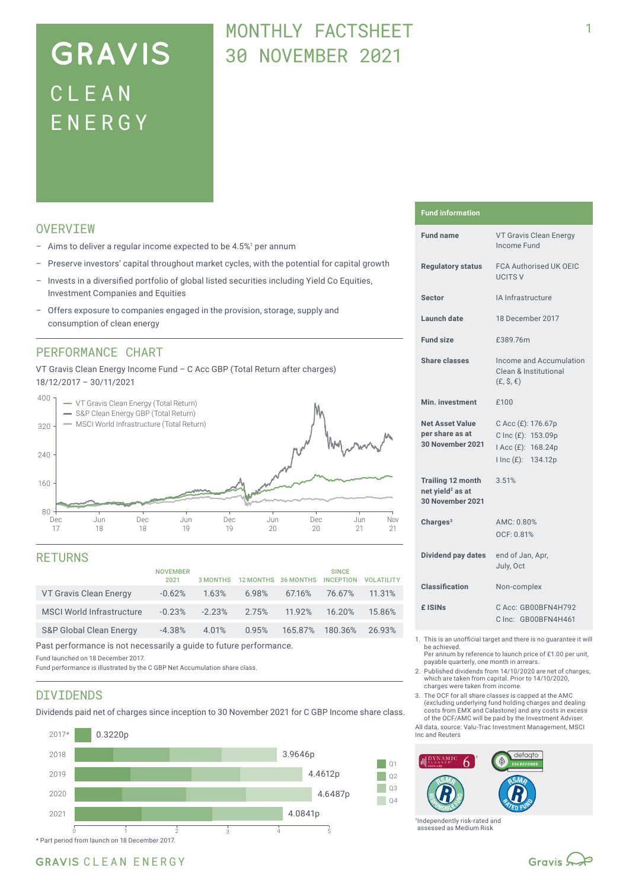# **GRAVIS** CLEA N ENERG Y

## MONTHLY FACTSHEFT 30 NOVEMBER 2021

## **OVERVTEW**

- $-$  Aims to deliver a regular income expected to be 4.5%<sup>1</sup> per annum
- Preserve investors' capital throughout market cycles, with the potential for capital growth
- Invests in a diversified portfolio of global listed securities including Yield Co Equities, Investment Companies and Equities
- Offers exposure to companies engaged in the provision, storage, supply and consumption of clean energy

### PERFORMANCE CHART

VT Gravis Clean Energy Income Fund – C Acc GBP (Total Return after charges) 18/12/2017 – 30/11/2021



### RETURNS

|                                    | <b>NOVEMBER</b><br>2021 | <b>3 MONTHS</b> |       | 12 MONTHS 36 MONTHS | <b>SINCE</b><br><b>INCEPTION</b> | <b>VOLATILITY</b> |
|------------------------------------|-------------------------|-----------------|-------|---------------------|----------------------------------|-------------------|
| VT Gravis Clean Energy             | $-0.62%$                | 1.63%           | 6.98% | 67.16%              | 76.67%                           | 11.31%            |
| <b>MSCI World Infrastructure</b>   | $-0.23%$                | $-2.23%$        | 2.75% | 11.92%              | 16.20%                           | 15.86%            |
| <b>S&amp;P Global Clean Energy</b> | $-4.38%$                | 4.01%           | 0.95% | 165.87% 180.36%     |                                  | 26.93%            |
|                                    |                         |                 |       |                     |                                  |                   |

Past performance is not necessarily a guide to future performance.

Fund launched on 18 December 2017.

Fund performance is illustrated by the C GBP Net Accumulation share class.

### DIVIDENDS

Dividends paid net of charges since inception to 30 November 2021 for C GBP Income share class.



#### **Fund information**

| <b>Fund name</b>                                                             | VT Gravis Clean Energy<br>Income Fund                                                   |
|------------------------------------------------------------------------------|-----------------------------------------------------------------------------------------|
| <b>Regulatory status</b>                                                     | <b>FCA Authorised UK OEIC</b><br><b>UCITS V</b>                                         |
| <b>Sector</b>                                                                | IA Infrastructure                                                                       |
| <b>Launch date</b>                                                           | 18 December 2017                                                                        |
| <b>Fund size</b>                                                             | £389.76m                                                                                |
| <b>Share classes</b>                                                         | Income and Accumulation<br><b>Clean &amp; Institutional</b><br>$(E, \hat{S}, \epsilon)$ |
| Min. investment                                                              | £100                                                                                    |
| <b>Net Asset Value</b><br>per share as at<br><b>30 November 2021</b>         | C Acc (£): 176.67p<br>C Inc (£): 153.09p<br>I Acc (£): 168.24p<br>I Inc (£): 134.12p    |
| <b>Trailing 12 month</b><br>net yield <sup>2</sup> as at<br>30 November 2021 | 3.51%                                                                                   |
| Charges $3$                                                                  | AMC: 0.80%<br>OCF: 0.81%                                                                |
| Dividend pay dates                                                           | end of Jan, Apr,<br>July, Oct                                                           |
| <b>Classification</b>                                                        | Non-complex                                                                             |
| £ ISIN <sub>S</sub>                                                          | C Acc: GB00BFN4H792<br>C Inc: GB00BFN4H461                                              |
|                                                                              | This is an unafficial topost and those is no purpose to ull                             |

- 1. This is an unofficial target and there is no guarantee it will be achieved.
- Per annum by reference to launch price of £1.00 per unit, payable quarterly, one month in arrears.
- 2. Published dividends from 14/10/2020 are net of charges, which are taken from capital. Prior to 14/10/2020, charges were taken from income.
- 3. The OCF for all share classes is capped at the AMC (excluding underlying fund holding charges and dealing costs from EMX and Calastone) and any costs in excess of the OCF/AMC will be paid by the Investment Adviser.

All data, source: Valu-Trac Investment Management, MSCI Inc and Reuters



†Independently risk-rated and assessed as Medium Risk

### GRAVIS CLEAN ENERGY

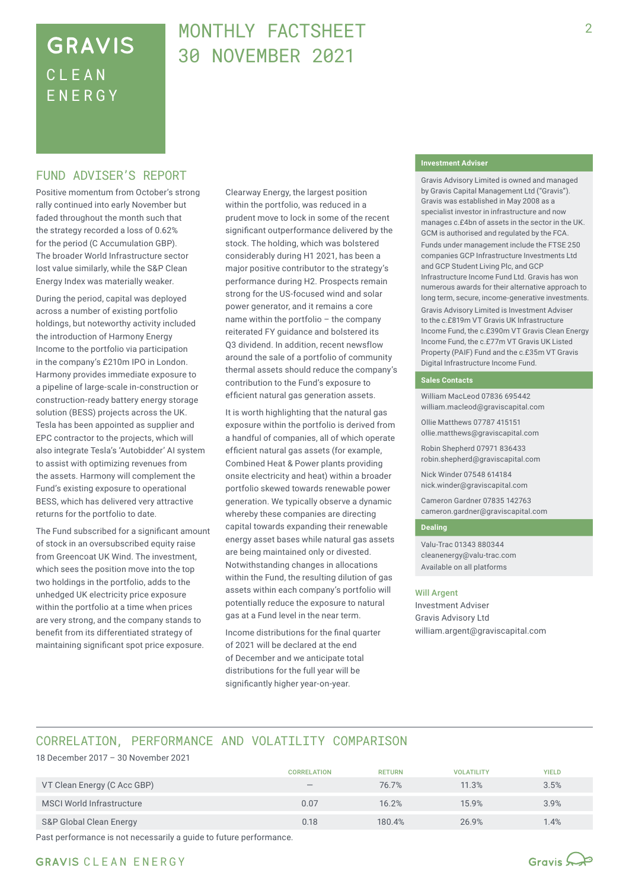## **GRAVIS** CLEA N ENERG Y

## MONTHLY FACTSHEET 30 NOVEMBER 2021

### FUND ADVISER'S REPORT

Positive momentum from October's strong rally continued into early November but faded throughout the month such that the strategy recorded a loss of 0.62% for the period (C Accumulation GBP). The broader World Infrastructure sector lost value similarly, while the S&P Clean Energy Index was materially weaker.

During the period, capital was deployed across a number of existing portfolio holdings, but noteworthy activity included the introduction of Harmony Energy Income to the portfolio via participation in the company's £210m IPO in London. Harmony provides immediate exposure to a pipeline of large-scale in-construction or construction-ready battery energy storage solution (BESS) projects across the UK. Tesla has been appointed as supplier and EPC contractor to the projects, which will also integrate Tesla's 'Autobidder' AI system to assist with optimizing revenues from the assets. Harmony will complement the Fund's existing exposure to operational BESS, which has delivered very attractive returns for the portfolio to date.

The Fund subscribed for a significant amount of stock in an oversubscribed equity raise from Greencoat UK Wind. The investment, which sees the position move into the top two holdings in the portfolio, adds to the unhedged UK electricity price exposure within the portfolio at a time when prices are very strong, and the company stands to benefit from its differentiated strategy of maintaining significant spot price exposure.

Clearway Energy, the largest position within the portfolio, was reduced in a prudent move to lock in some of the recent significant outperformance delivered by the stock. The holding, which was bolstered considerably during H1 2021, has been a major positive contributor to the strategy's performance during H2. Prospects remain strong for the US-focused wind and solar power generator, and it remains a core name within the portfolio – the company reiterated FY guidance and bolstered its Q3 dividend. In addition, recent newsflow around the sale of a portfolio of community thermal assets should reduce the company's contribution to the Fund's exposure to efficient natural gas generation assets.

It is worth highlighting that the natural gas exposure within the portfolio is derived from a handful of companies, all of which operate efficient natural gas assets (for example, Combined Heat & Power plants providing onsite electricity and heat) within a broader portfolio skewed towards renewable power generation. We typically observe a dynamic whereby these companies are directing capital towards expanding their renewable energy asset bases while natural gas assets are being maintained only or divested. Notwithstanding changes in allocations within the Fund, the resulting dilution of gas assets within each company's portfolio will potentially reduce the exposure to natural gas at a Fund level in the near term.

Income distributions for the final quarter of 2021 will be declared at the end of December and we anticipate total distributions for the full year will be significantly higher year-on-year.

#### **Investment Adviser**

Gravis Advisory Limited is owned and managed by Gravis Capital Management Ltd ("Gravis"). Gravis was established in May 2008 as a specialist investor in infrastructure and now manages c.£4bn of assets in the sector in the UK. GCM is authorised and regulated by the FCA.

Funds under management include the FTSE 250 companies GCP Infrastructure Investments Ltd and GCP Student Living Plc, and GCP Infrastructure Income Fund Ltd. Gravis has won numerous awards for their alternative approach to long term, secure, income-generative investments. Gravis Advisory Limited is Investment Adviser to the c.£819m VT Gravis UK Infrastructure Income Fund, the c.£390m VT Gravis Clean Energy Income Fund, the c.£77m VT Gravis UK Listed Property (PAIF) Fund and the c.£35m VT Gravis Digital Infrastructure Income Fund.

#### **Sales Contacts**

William MacLeod 07836 695442 william.macleod@graviscapital.com

Ollie Matthews 07787 415151 ollie.matthews@graviscapital.com

Robin Shepherd 07971 836433 robin.shepherd@graviscapital.com

Nick Winder 07548 614184 nick.winder@graviscapital.com

Cameron Gardner 07835 142763 cameron.gardner@graviscapital.com

#### **Dealing**

Valu-Trac 01343 880344 cleanenergy@valu-trac.com Available on all platforms

#### Will Argent

Investment Adviser Gravis Advisory Ltd william.argent@graviscapital.com

## CORRELATION, PERFORMANCE AND VOLATILITY COMPARISON

18 December 2017 – 30 November 2021

|                             | <b>CORRELATION</b>              | <b>RETURN</b> | <b>VOLATILITY</b> | <b>YIELD</b> |
|-----------------------------|---------------------------------|---------------|-------------------|--------------|
| VT Clean Energy (C Acc GBP) | $\hspace{0.1mm}-\hspace{0.1mm}$ | 76.7%         | 11.3%             | 3.5%         |
| MSCI World Infrastructure   | 0.07                            | 16.2%         | 15.9%             | 3.9%         |
| S&P Global Clean Energy     | 0.18                            | 180.4%        | 26.9%             | $1.4\%$      |

Past performance is not necessarily a guide to future performance.